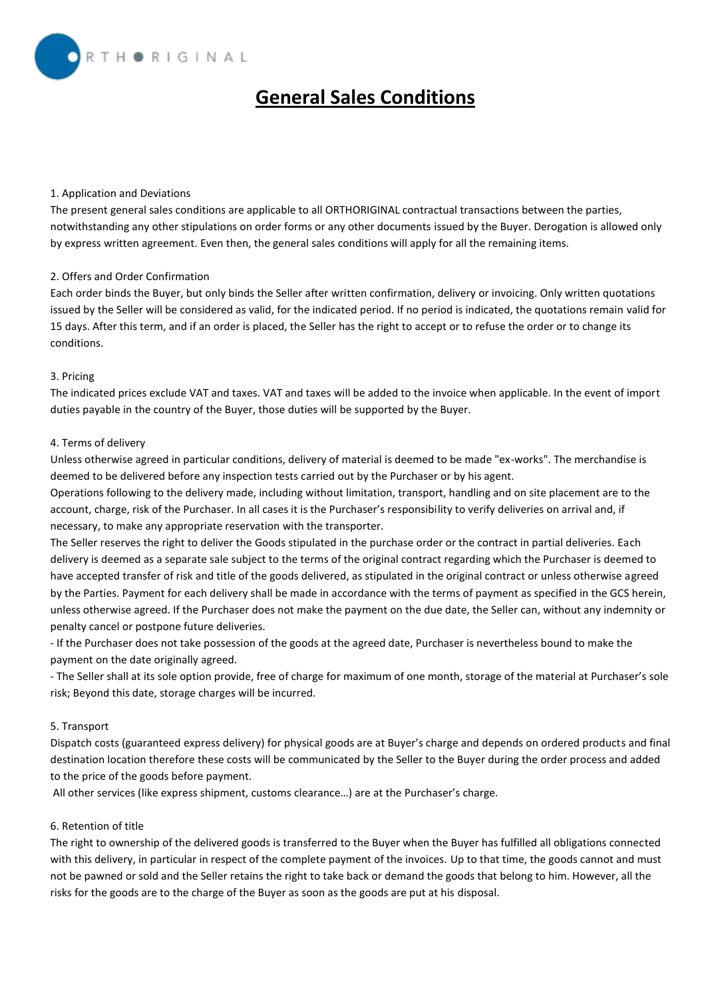RTH . RIGINAL

# **[G](http://www.orthoriginal.com/)eneral Sales Conditions**

#### 1. Application and Deviations

The present general sales conditions are applicable to all ORTHORIGINAL contractual transactions between the parties, notwithstanding any other stipulations on order forms or any other documents issued by the Buyer. Derogation is allowed only by express written agreement. Even then, the general sales conditions will apply for all the remaining items.

## 2. Offers and Order Confirmation

Each order binds the Buyer, but only binds the Seller after written confirmation, delivery or invoicing. Only written quotations issued by the Seller will be considered as valid, for the indicated period. If no period is indicated, the quotations remain valid for 15 days. After this term, and if an order is placed, the Seller has the right to accept or to refuse the order or to change its conditions.

# 3. Pricing

The indicated prices exclude VAT and taxes. VAT and taxes will be added to the invoice when applicable. In the event of import duties payable in the country of the Buyer, those duties will be supported by the Buyer.

## 4. Terms of delivery

Unless otherwise agreed in particular conditions, delivery of material is deemed to be made "ex-works". The merchandise is deemed to be delivered before any inspection tests carried out by the Purchaser or by his agent.

Operations following to the delivery made, including without limitation, transport, handling and on site placement are to the account, charge, risk of the Purchaser. In all cases it is the Purchaser's responsibility to verify deliveries on arrival and, if necessary, to make any appropriate reservation with the transporter.

The Seller reserves the right to deliver the Goods stipulated in the purchase order or the contract in partial deliveries. Each delivery is deemed as a separate sale subject to the terms of the original contract regarding which the Purchaser is deemed to have accepted transfer of risk and title of the goods delivered, as stipulated in the original contract or unless otherwise agreed by the Parties. Payment for each delivery shall be made in accordance with the terms of payment as specified in the GCS herein, unless otherwise agreed. If the Purchaser does not make the payment on the due date, the Seller can, without any indemnity or penalty cancel or postpone future deliveries.

- If the Purchaser does not take possession of the goods at the agreed date, Purchaser is nevertheless bound to make the payment on the date originally agreed.

- The Seller shall at its sole option provide, free of charge for maximum of one month, storage of the material at Purchaser's sole risk; Beyond this date, storage charges will be incurred.

# 5. Transport

Dispatch costs (guaranteed express delivery) for physical goods are at Buyer's charge and depends on ordered products and final destination location therefore these costs will be communicated by the Seller to the Buyer during the order process and added to the price of the goods before payment.

All other services (like express shipment, customs clearance…) are at the Purchaser's charge.

# 6. Retention of title

The right to ownership of the delivered goods is transferred to the Buyer when the Buyer has fulfilled all obligations connected with this delivery, in particular in respect of the complete payment of the invoices. Up to that time, the goods cannot and must not be pawned or sold and the Seller retains the right to take back or demand the goods that belong to him. However, all the risks for the goods are to the charge of the Buyer as soon as the goods are put at his disposal.